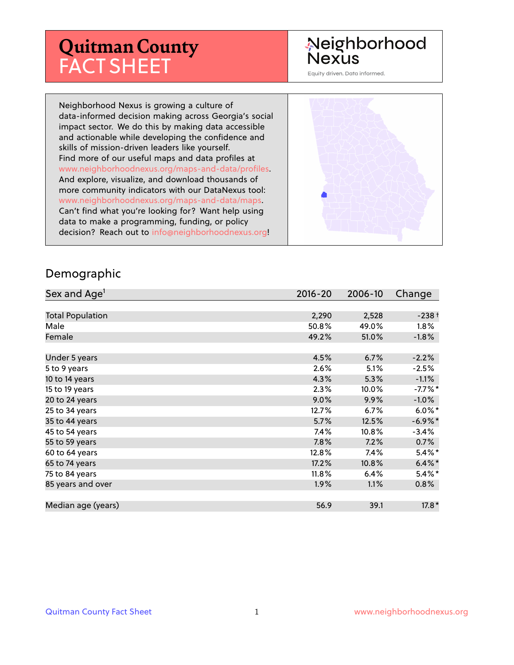# **Quitman County** FACT SHEET

#### Neighborhood **Nexus**

Equity driven. Data informed.

Neighborhood Nexus is growing a culture of data-informed decision making across Georgia's social impact sector. We do this by making data accessible and actionable while developing the confidence and skills of mission-driven leaders like yourself. Find more of our useful maps and data profiles at www.neighborhoodnexus.org/maps-and-data/profiles. And explore, visualize, and download thousands of more community indicators with our DataNexus tool: www.neighborhoodnexus.org/maps-and-data/maps. Can't find what you're looking for? Want help using data to make a programming, funding, or policy decision? Reach out to [info@neighborhoodnexus.org!](mailto:info@neighborhoodnexus.org)



#### Demographic

| Sex and Age <sup>1</sup> | $2016 - 20$ | 2006-10  | Change     |
|--------------------------|-------------|----------|------------|
|                          |             |          |            |
| <b>Total Population</b>  | 2,290       | 2,528    | $-238+$    |
| Male                     | 50.8%       | 49.0%    | $1.8\%$    |
| Female                   | 49.2%       | 51.0%    | $-1.8\%$   |
|                          |             |          |            |
| Under 5 years            | 4.5%        | 6.7%     | $-2.2%$    |
| 5 to 9 years             | 2.6%        | 5.1%     | $-2.5%$    |
| 10 to 14 years           | 4.3%        | 5.3%     | $-1.1%$    |
| 15 to 19 years           | 2.3%        | 10.0%    | $-7.7%$ *  |
| 20 to 24 years           | 9.0%        | 9.9%     | $-1.0%$    |
| 25 to 34 years           | 12.7%       | 6.7%     | $6.0\%$ *  |
| 35 to 44 years           | 5.7%        | 12.5%    | $-6.9\%$ * |
| 45 to 54 years           | $7.4\%$     | 10.8%    | $-3.4%$    |
| 55 to 59 years           | 7.8%        | 7.2%     | 0.7%       |
| 60 to 64 years           | 12.8%       | 7.4%     | $5.4\%$ *  |
| 65 to 74 years           | 17.2%       | $10.8\%$ | $6.4\%$ *  |
| 75 to 84 years           | $11.8\%$    | 6.4%     | $5.4\%$    |
| 85 years and over        | $1.9\%$     | 1.1%     | $0.8\%$    |
|                          |             |          |            |
| Median age (years)       | 56.9        | 39.1     | $17.8*$    |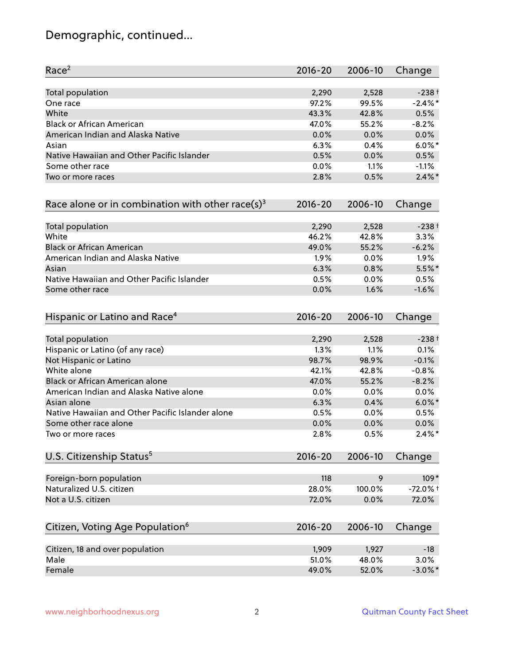# Demographic, continued...

| Race <sup>2</sup>                                   | $2016 - 20$ | 2006-10 | Change     |
|-----------------------------------------------------|-------------|---------|------------|
| Total population                                    | 2,290       | 2,528   | $-238+$    |
| One race                                            | 97.2%       | 99.5%   | $-2.4\%$ * |
| White                                               | 43.3%       | 42.8%   | 0.5%       |
| <b>Black or African American</b>                    | 47.0%       | 55.2%   | $-8.2%$    |
| American Indian and Alaska Native                   | 0.0%        | 0.0%    | 0.0%       |
| Asian                                               | 6.3%        | 0.4%    | $6.0\%$ *  |
| Native Hawaiian and Other Pacific Islander          | 0.5%        | 0.0%    | 0.5%       |
| Some other race                                     | 0.0%        | 1.1%    | $-1.1%$    |
| Two or more races                                   | 2.8%        | 0.5%    | $2.4\%$ *  |
| Race alone or in combination with other race(s) $3$ | $2016 - 20$ | 2006-10 | Change     |
| Total population                                    | 2,290       | 2,528   | $-238+$    |
| White                                               | 46.2%       | 42.8%   | 3.3%       |
| <b>Black or African American</b>                    | 49.0%       | 55.2%   | $-6.2%$    |
| American Indian and Alaska Native                   | 1.9%        | 0.0%    | 1.9%       |
| Asian                                               | 6.3%        | 0.8%    | 5.5%*      |
| Native Hawaiian and Other Pacific Islander          | 0.5%        | 0.0%    | 0.5%       |
| Some other race                                     | 0.0%        | 1.6%    | $-1.6%$    |
| Hispanic or Latino and Race <sup>4</sup>            | $2016 - 20$ | 2006-10 | Change     |
| <b>Total population</b>                             | 2,290       | 2,528   | $-238+$    |
| Hispanic or Latino (of any race)                    | 1.3%        | 1.1%    | 0.1%       |
| Not Hispanic or Latino                              | 98.7%       | 98.9%   | $-0.1%$    |
| White alone                                         | 42.1%       | 42.8%   | $-0.8%$    |
| Black or African American alone                     | 47.0%       | 55.2%   | $-8.2%$    |
| American Indian and Alaska Native alone             | 0.0%        | 0.0%    | 0.0%       |
| Asian alone                                         | 6.3%        | 0.4%    | $6.0\%$ *  |
| Native Hawaiian and Other Pacific Islander alone    | 0.5%        | 0.0%    | 0.5%       |
| Some other race alone                               | 0.0%        | 0.0%    | 0.0%       |
| Two or more races                                   | 2.8%        | 0.5%    | $2.4\%$ *  |
| U.S. Citizenship Status <sup>5</sup>                | $2016 - 20$ | 2006-10 | Change     |
| Foreign-born population                             | 118         | 9       | $109*$     |
| Naturalized U.S. citizen                            | 28.0%       | 100.0%  | $-72.0%$ + |
| Not a U.S. citizen                                  | 72.0%       | 0.0%    | 72.0%      |
|                                                     |             |         |            |
| Citizen, Voting Age Population <sup>6</sup>         | $2016 - 20$ | 2006-10 | Change     |
| Citizen, 18 and over population                     | 1,909       | 1,927   | $-18$      |
| Male                                                | 51.0%       | 48.0%   | 3.0%       |
| Female                                              | 49.0%       | 52.0%   | $-3.0\%$ * |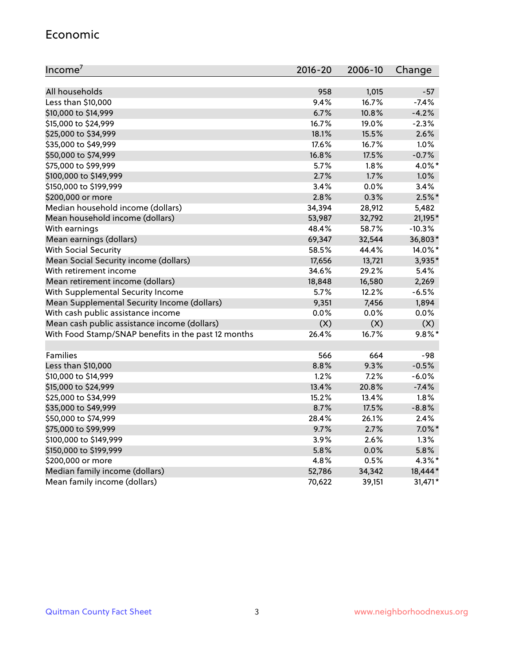#### Economic

| Income <sup>7</sup>                                 | $2016 - 20$ | 2006-10 | Change    |
|-----------------------------------------------------|-------------|---------|-----------|
|                                                     |             |         |           |
| All households                                      | 958         | 1,015   | $-57$     |
| Less than \$10,000                                  | 9.4%        | 16.7%   | $-7.4%$   |
| \$10,000 to \$14,999                                | 6.7%        | 10.8%   | $-4.2%$   |
| \$15,000 to \$24,999                                | 16.7%       | 19.0%   | $-2.3%$   |
| \$25,000 to \$34,999                                | 18.1%       | 15.5%   | 2.6%      |
| \$35,000 to \$49,999                                | 17.6%       | 16.7%   | 1.0%      |
| \$50,000 to \$74,999                                | 16.8%       | 17.5%   | $-0.7%$   |
| \$75,000 to \$99,999                                | 5.7%        | 1.8%    | 4.0%*     |
| \$100,000 to \$149,999                              | 2.7%        | 1.7%    | 1.0%      |
| \$150,000 to \$199,999                              | 3.4%        | 0.0%    | 3.4%      |
| \$200,000 or more                                   | 2.8%        | 0.3%    | $2.5\%$ * |
| Median household income (dollars)                   | 34,394      | 28,912  | 5,482     |
| Mean household income (dollars)                     | 53,987      | 32,792  | 21,195*   |
| With earnings                                       | 48.4%       | 58.7%   | $-10.3%$  |
| Mean earnings (dollars)                             | 69,347      | 32,544  | 36,803*   |
| <b>With Social Security</b>                         | 58.5%       | 44.4%   | 14.0%*    |
| Mean Social Security income (dollars)               | 17,656      | 13,721  | 3,935*    |
| With retirement income                              | 34.6%       | 29.2%   | 5.4%      |
| Mean retirement income (dollars)                    | 18,848      | 16,580  | 2,269     |
| With Supplemental Security Income                   | 5.7%        | 12.2%   | $-6.5%$   |
| Mean Supplemental Security Income (dollars)         | 9,351       | 7,456   | 1,894     |
| With cash public assistance income                  | 0.0%        | 0.0%    | 0.0%      |
| Mean cash public assistance income (dollars)        | (X)         | (X)     | (X)       |
| With Food Stamp/SNAP benefits in the past 12 months | 26.4%       | 16.7%   | $9.8\%$ * |
|                                                     |             |         |           |
| Families                                            | 566         | 664     | $-98$     |
| Less than \$10,000                                  | 8.8%        | 9.3%    | $-0.5%$   |
| \$10,000 to \$14,999                                | 1.2%        | 7.2%    | $-6.0%$   |
| \$15,000 to \$24,999                                | 13.4%       | 20.8%   | $-7.4%$   |
| \$25,000 to \$34,999                                | 15.2%       | 13.4%   | 1.8%      |
| \$35,000 to \$49,999                                | 8.7%        | 17.5%   | $-8.8%$   |
| \$50,000 to \$74,999                                | 28.4%       | 26.1%   | 2.4%      |
| \$75,000 to \$99,999                                | 9.7%        | 2.7%    | $7.0\%$ * |
| \$100,000 to \$149,999                              | 3.9%        | 2.6%    | 1.3%      |
| \$150,000 to \$199,999                              | 5.8%        | 0.0%    | 5.8%      |
| \$200,000 or more                                   | 4.8%        | 0.5%    | 4.3%*     |
| Median family income (dollars)                      | 52,786      | 34,342  | 18,444*   |
| Mean family income (dollars)                        | 70,622      | 39,151  | 31,471*   |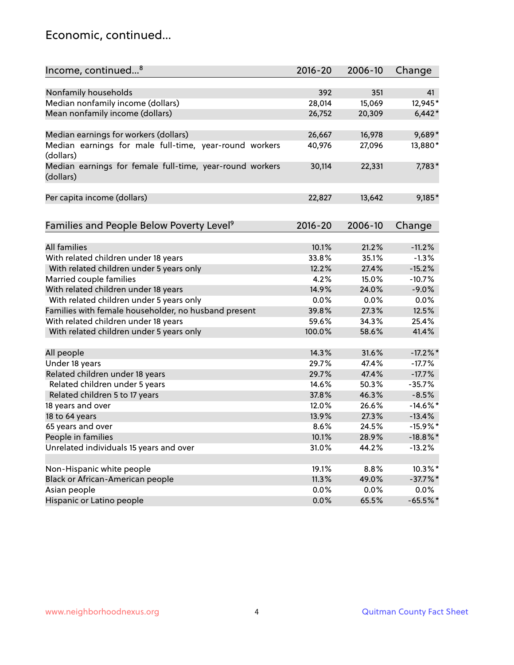#### Economic, continued...

| Income, continued <sup>8</sup>                                        | $2016 - 20$ | 2006-10 | Change      |
|-----------------------------------------------------------------------|-------------|---------|-------------|
|                                                                       |             |         |             |
| Nonfamily households                                                  | 392         | 351     | 41          |
| Median nonfamily income (dollars)                                     | 28,014      | 15,069  | 12,945*     |
| Mean nonfamily income (dollars)                                       | 26,752      | 20,309  | $6,442*$    |
| Median earnings for workers (dollars)                                 | 26,667      | 16,978  | 9,689*      |
| Median earnings for male full-time, year-round workers                | 40,976      | 27,096  | 13,880*     |
| (dollars)                                                             |             |         |             |
| Median earnings for female full-time, year-round workers<br>(dollars) | 30,114      | 22,331  | 7,783*      |
| Per capita income (dollars)                                           | 22,827      | 13,642  | 9,185*      |
|                                                                       |             |         |             |
| Families and People Below Poverty Level <sup>9</sup>                  | 2016-20     | 2006-10 | Change      |
| <b>All families</b>                                                   | 10.1%       |         |             |
|                                                                       |             | 21.2%   | $-11.2%$    |
| With related children under 18 years                                  | 33.8%       | 35.1%   | $-1.3%$     |
| With related children under 5 years only                              | 12.2%       | 27.4%   | $-15.2%$    |
| Married couple families                                               | 4.2%        | 15.0%   | $-10.7%$    |
| With related children under 18 years                                  | 14.9%       | 24.0%   | $-9.0%$     |
| With related children under 5 years only                              | 0.0%        | 0.0%    | 0.0%        |
| Families with female householder, no husband present                  | 39.8%       | 27.3%   | 12.5%       |
| With related children under 18 years                                  | 59.6%       | 34.3%   | 25.4%       |
| With related children under 5 years only                              | 100.0%      | 58.6%   | 41.4%       |
| All people                                                            | 14.3%       | 31.6%   | $-17.2\%$ * |
| Under 18 years                                                        | 29.7%       | 47.4%   | $-17.7%$    |
| Related children under 18 years                                       | 29.7%       | 47.4%   | $-17.7%$    |
| Related children under 5 years                                        | 14.6%       | 50.3%   | $-35.7%$    |
| Related children 5 to 17 years                                        | 37.8%       | 46.3%   | $-8.5%$     |
| 18 years and over                                                     | 12.0%       | 26.6%   | $-14.6\%$ * |
| 18 to 64 years                                                        | 13.9%       | 27.3%   | $-13.4%$    |
| 65 years and over                                                     | 8.6%        | 24.5%   | $-15.9\%$ * |
| People in families                                                    | 10.1%       | 28.9%   | $-18.8\%$ * |
| Unrelated individuals 15 years and over                               | 31.0%       | 44.2%   | $-13.2%$    |
|                                                                       |             |         |             |
| Non-Hispanic white people                                             | 19.1%       | 8.8%    | 10.3%*      |
| Black or African-American people                                      | 11.3%       | 49.0%   | $-37.7%$ *  |
| Asian people                                                          | 0.0%        | 0.0%    | $0.0\%$     |
| Hispanic or Latino people                                             | 0.0%        | 65.5%   | $-65.5\%$ * |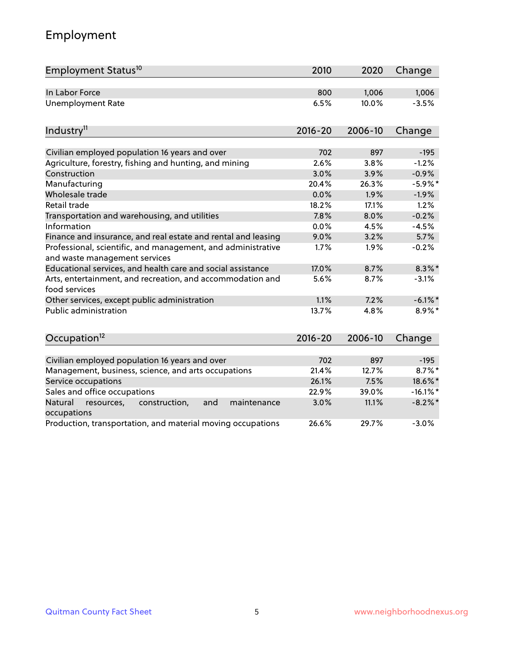# Employment

| Employment Status <sup>10</sup>                                                               | 2010        | 2020    | Change      |
|-----------------------------------------------------------------------------------------------|-------------|---------|-------------|
| In Labor Force                                                                                | 800         | 1,006   | 1,006       |
| <b>Unemployment Rate</b>                                                                      | 6.5%        | 10.0%   | $-3.5%$     |
| Industry <sup>11</sup>                                                                        | $2016 - 20$ | 2006-10 | Change      |
|                                                                                               |             |         |             |
| Civilian employed population 16 years and over                                                | 702         | 897     | $-195$      |
| Agriculture, forestry, fishing and hunting, and mining                                        | 2.6%        | 3.8%    | $-1.2%$     |
| Construction                                                                                  | 3.0%        | 3.9%    | $-0.9%$     |
| Manufacturing                                                                                 | 20.4%       | 26.3%   | $-5.9\%$ *  |
| Wholesale trade                                                                               | 0.0%        | 1.9%    | $-1.9%$     |
| Retail trade                                                                                  | 18.2%       | 17.1%   | 1.2%        |
| Transportation and warehousing, and utilities                                                 | 7.8%        | 8.0%    | $-0.2%$     |
| Information                                                                                   | 0.0%        | 4.5%    | $-4.5%$     |
| Finance and insurance, and real estate and rental and leasing                                 | 9.0%        | 3.2%    | 5.7%        |
| Professional, scientific, and management, and administrative<br>and waste management services | 1.7%        | 1.9%    | $-0.2%$     |
| Educational services, and health care and social assistance                                   | 17.0%       | 8.7%    | $8.3\%$ *   |
| Arts, entertainment, and recreation, and accommodation and<br>food services                   | 5.6%        | 8.7%    | $-3.1%$     |
| Other services, except public administration                                                  | 1.1%        | 7.2%    | $-6.1\%$ *  |
| Public administration                                                                         | 13.7%       | 4.8%    | 8.9%*       |
| Occupation <sup>12</sup>                                                                      | $2016 - 20$ | 2006-10 | Change      |
|                                                                                               |             |         |             |
| Civilian employed population 16 years and over                                                | 702         | 897     | $-195$      |
| Management, business, science, and arts occupations                                           | 21.4%       | 12.7%   | $8.7\%$ *   |
| Service occupations                                                                           | 26.1%       | 7.5%    | 18.6%*      |
| Sales and office occupations                                                                  | 22.9%       | 39.0%   | $-16.1\%$ * |
| Natural<br>resources,<br>construction,<br>and<br>maintenance<br>occupations                   | 3.0%        | 11.1%   | $-8.2\%$ *  |
| Production, transportation, and material moving occupations                                   | 26.6%       | 29.7%   | $-3.0%$     |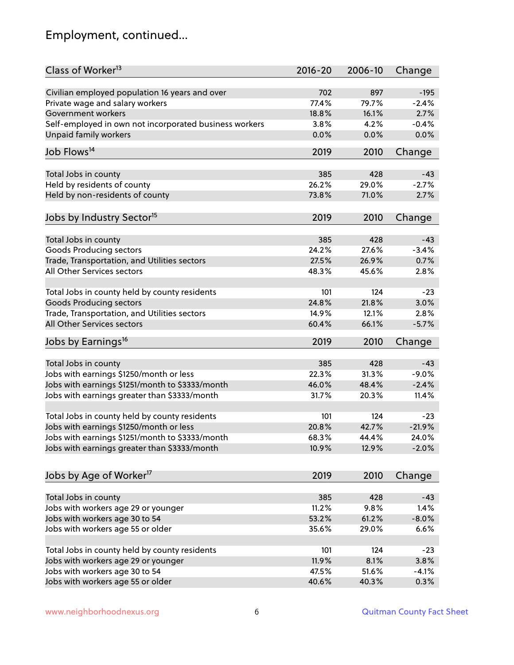# Employment, continued...

| Class of Worker <sup>13</sup>                          | $2016 - 20$ | 2006-10 | Change             |
|--------------------------------------------------------|-------------|---------|--------------------|
| Civilian employed population 16 years and over         | 702         | 897     | $-195$             |
| Private wage and salary workers                        | 77.4%       | 79.7%   | $-2.4%$            |
| Government workers                                     | 18.8%       | 16.1%   | 2.7%               |
| Self-employed in own not incorporated business workers | 3.8%        | 4.2%    | $-0.4%$            |
| <b>Unpaid family workers</b>                           | 0.0%        | 0.0%    | 0.0%               |
|                                                        |             |         |                    |
| Job Flows <sup>14</sup>                                | 2019        | 2010    | Change             |
| Total Jobs in county                                   | 385         | 428     | $-43$              |
| Held by residents of county                            | 26.2%       | 29.0%   | $-2.7%$            |
| Held by non-residents of county                        | 73.8%       | 71.0%   | 2.7%               |
|                                                        |             |         |                    |
| Jobs by Industry Sector <sup>15</sup>                  | 2019        | 2010    | Change             |
| Total Jobs in county                                   | 385         | 428     | $-43$              |
| Goods Producing sectors                                | 24.2%       | 27.6%   | $-3.4%$            |
| Trade, Transportation, and Utilities sectors           | 27.5%       | 26.9%   | 0.7%               |
| All Other Services sectors                             | 48.3%       | 45.6%   | 2.8%               |
|                                                        |             |         |                    |
| Total Jobs in county held by county residents          | 101         | 124     | $-23$              |
| <b>Goods Producing sectors</b>                         | 24.8%       | 21.8%   | 3.0%               |
| Trade, Transportation, and Utilities sectors           | 14.9%       | 12.1%   | 2.8%               |
| All Other Services sectors                             | 60.4%       | 66.1%   | $-5.7%$            |
| Jobs by Earnings <sup>16</sup>                         | 2019        | 2010    | Change             |
|                                                        | 385         | 428     | $-43$              |
| Total Jobs in county                                   |             | 31.3%   |                    |
| Jobs with earnings \$1250/month or less                | 22.3%       |         | $-9.0%$<br>$-2.4%$ |
| Jobs with earnings \$1251/month to \$3333/month        | 46.0%       | 48.4%   |                    |
| Jobs with earnings greater than \$3333/month           | 31.7%       | 20.3%   | 11.4%              |
| Total Jobs in county held by county residents          | 101         | 124     | $-23$              |
| Jobs with earnings \$1250/month or less                | 20.8%       | 42.7%   | $-21.9%$           |
| Jobs with earnings \$1251/month to \$3333/month        | 68.3%       | 44.4%   | 24.0%              |
| Jobs with earnings greater than \$3333/month           | 10.9%       | 12.9%   | $-2.0%$            |
| Jobs by Age of Worker <sup>17</sup>                    | 2019        | 2010    |                    |
|                                                        |             |         | Change             |
| Total Jobs in county                                   | 385         | 428     | $-43$              |
| Jobs with workers age 29 or younger                    | 11.2%       | 9.8%    | 1.4%               |
| Jobs with workers age 30 to 54                         | 53.2%       | 61.2%   | $-8.0%$            |
| Jobs with workers age 55 or older                      | 35.6%       | 29.0%   | 6.6%               |
|                                                        |             |         |                    |
| Total Jobs in county held by county residents          | 101         | 124     | -23                |
| Jobs with workers age 29 or younger                    | 11.9%       | 8.1%    | 3.8%               |
| Jobs with workers age 30 to 54                         | 47.5%       | 51.6%   | $-4.1%$            |
| Jobs with workers age 55 or older                      | 40.6%       | 40.3%   | 0.3%               |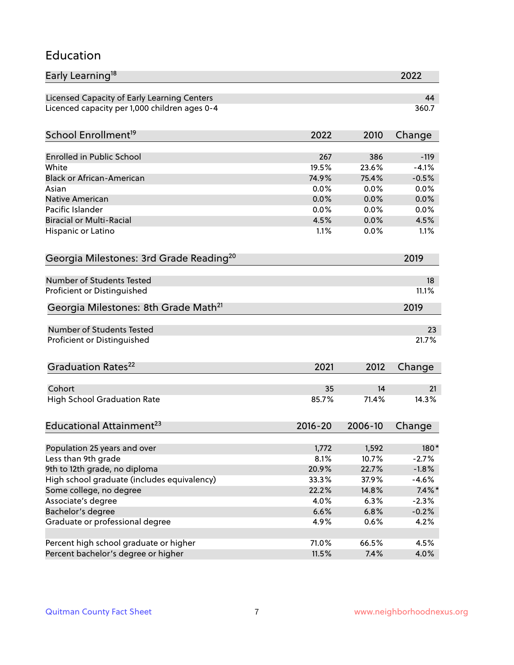#### Education

| Early Learning <sup>18</sup>                        |         |         | 2022      |
|-----------------------------------------------------|---------|---------|-----------|
| Licensed Capacity of Early Learning Centers         |         |         | 44        |
| Licenced capacity per 1,000 children ages 0-4       |         |         | 360.7     |
| School Enrollment <sup>19</sup>                     | 2022    | 2010    | Change    |
|                                                     |         |         |           |
| <b>Enrolled in Public School</b>                    | 267     | 386     | $-119$    |
| White                                               | 19.5%   | 23.6%   | $-4.1%$   |
| <b>Black or African-American</b>                    | 74.9%   | 75.4%   | $-0.5%$   |
| Asian                                               | 0.0%    | 0.0%    | 0.0%      |
| Native American                                     | 0.0%    | 0.0%    | 0.0%      |
| Pacific Islander                                    | 0.0%    | 0.0%    | 0.0%      |
| <b>Biracial or Multi-Racial</b>                     | 4.5%    | 0.0%    | 4.5%      |
| Hispanic or Latino                                  | 1.1%    | 0.0%    | 1.1%      |
| Georgia Milestones: 3rd Grade Reading <sup>20</sup> |         |         | 2019      |
|                                                     |         |         |           |
| Number of Students Tested                           |         |         | 18        |
| Proficient or Distinguished                         |         |         | 11.1%     |
| Georgia Milestones: 8th Grade Math <sup>21</sup>    |         |         | 2019      |
| <b>Number of Students Tested</b>                    |         |         | 23        |
| Proficient or Distinguished                         |         |         | 21.7%     |
| Graduation Rates <sup>22</sup>                      | 2021    | 2012    | Change    |
| Cohort                                              | 35      | 14      | 21        |
| <b>High School Graduation Rate</b>                  | 85.7%   | 71.4%   | 14.3%     |
|                                                     |         |         |           |
| Educational Attainment <sup>23</sup>                | 2016-20 | 2006-10 | Change    |
| Population 25 years and over                        | 1,772   | 1,592   | 180*      |
| Less than 9th grade                                 | 8.1%    | 10.7%   | $-2.7%$   |
| 9th to 12th grade, no diploma                       | 20.9%   | 22.7%   | $-1.8%$   |
| High school graduate (includes equivalency)         | 33.3%   | 37.9%   | $-4.6%$   |
| Some college, no degree                             | 22.2%   | 14.8%   | $7.4\%$ * |
| Associate's degree                                  | 4.0%    | 6.3%    | $-2.3%$   |
| Bachelor's degree                                   | 6.6%    | 6.8%    | $-0.2%$   |
| Graduate or professional degree                     | 4.9%    | 0.6%    | 4.2%      |
|                                                     |         |         |           |
| Percent high school graduate or higher              | 71.0%   | 66.5%   | 4.5%      |
| Percent bachelor's degree or higher                 | 11.5%   | 7.4%    | 4.0%      |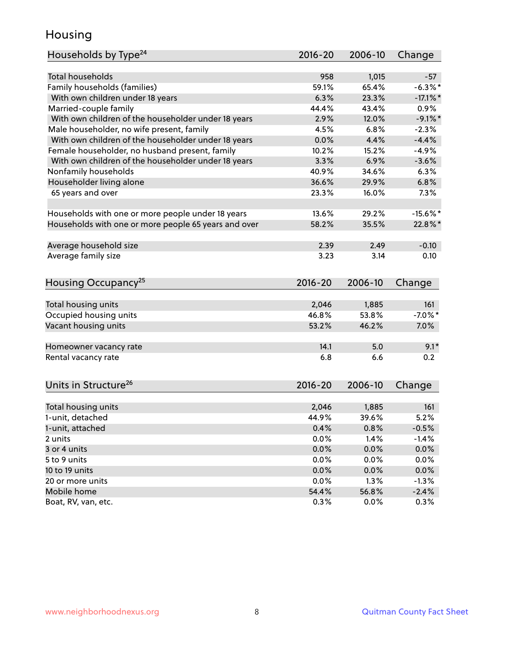#### Housing

| <b>Total households</b><br>958<br>1,015<br>$-57$<br>Family households (families)<br>$-6.3%$ *<br>59.1%<br>65.4%<br>6.3%<br>With own children under 18 years<br>23.3%<br>$-17.1\%$ *<br>Married-couple family<br>44.4%<br>43.4%<br>0.9%<br>With own children of the householder under 18 years<br>2.9%<br>12.0%<br>$-9.1\%$ *<br>Male householder, no wife present, family<br>4.5%<br>6.8%<br>$-2.3%$<br>With own children of the householder under 18 years<br>0.0%<br>4.4%<br>$-4.4%$<br>Female householder, no husband present, family<br>10.2%<br>15.2%<br>$-4.9%$<br>With own children of the householder under 18 years<br>3.3%<br>6.9%<br>$-3.6%$<br>Nonfamily households<br>40.9%<br>34.6%<br>6.3%<br>Householder living alone<br>36.6%<br>6.8%<br>29.9%<br>65 years and over<br>23.3%<br>7.3%<br>16.0%<br>13.6%<br>29.2%<br>Households with one or more people under 18 years<br>$-15.6%$ *<br>Households with one or more people 65 years and over<br>58.2%<br>35.5%<br>22.8%*<br>Average household size<br>2.39<br>2.49<br>$-0.10$<br>Average family size<br>3.23<br>3.14<br>0.10<br>Housing Occupancy <sup>25</sup><br>$2016 - 20$<br>2006-10<br>Change<br>Total housing units<br>2,046<br>1,885<br>161<br>Occupied housing units<br>46.8%<br>53.8%<br>$-7.0\%$ *<br>Vacant housing units<br>53.2%<br>46.2%<br>7.0%<br>5.0<br>$9.1*$<br>14.1<br>Homeowner vacancy rate<br>0.2<br>Rental vacancy rate<br>6.8<br>6.6<br>Units in Structure <sup>26</sup><br>2016-20<br>2006-10<br>Change<br>Total housing units<br>2,046<br>1,885<br>161<br>1-unit, detached<br>44.9%<br>39.6%<br>5.2%<br>1-unit, attached<br>0.4%<br>0.8%<br>$-0.5%$<br>0.0%<br>1.4%<br>$-1.4%$<br>2 units<br>0.0%<br>3 or 4 units<br>0.0%<br>0.0%<br>0.0%<br>0.0%<br>0.0%<br>5 to 9 units<br>0.0%<br>0.0%<br>0.0%<br>10 to 19 units<br>0.0%<br>20 or more units<br>1.3%<br>$-1.3%$<br>Mobile home<br>54.4%<br>56.8%<br>$-2.4%$ | Households by Type <sup>24</sup> | $2016 - 20$ | 2006-10 | Change |
|-----------------------------------------------------------------------------------------------------------------------------------------------------------------------------------------------------------------------------------------------------------------------------------------------------------------------------------------------------------------------------------------------------------------------------------------------------------------------------------------------------------------------------------------------------------------------------------------------------------------------------------------------------------------------------------------------------------------------------------------------------------------------------------------------------------------------------------------------------------------------------------------------------------------------------------------------------------------------------------------------------------------------------------------------------------------------------------------------------------------------------------------------------------------------------------------------------------------------------------------------------------------------------------------------------------------------------------------------------------------------------------------------------------------------------------------------------------------------------------------------------------------------------------------------------------------------------------------------------------------------------------------------------------------------------------------------------------------------------------------------------------------------------------------------------------------------------------------------------------------------------------------------------------|----------------------------------|-------------|---------|--------|
|                                                                                                                                                                                                                                                                                                                                                                                                                                                                                                                                                                                                                                                                                                                                                                                                                                                                                                                                                                                                                                                                                                                                                                                                                                                                                                                                                                                                                                                                                                                                                                                                                                                                                                                                                                                                                                                                                                           |                                  |             |         |        |
|                                                                                                                                                                                                                                                                                                                                                                                                                                                                                                                                                                                                                                                                                                                                                                                                                                                                                                                                                                                                                                                                                                                                                                                                                                                                                                                                                                                                                                                                                                                                                                                                                                                                                                                                                                                                                                                                                                           |                                  |             |         |        |
|                                                                                                                                                                                                                                                                                                                                                                                                                                                                                                                                                                                                                                                                                                                                                                                                                                                                                                                                                                                                                                                                                                                                                                                                                                                                                                                                                                                                                                                                                                                                                                                                                                                                                                                                                                                                                                                                                                           |                                  |             |         |        |
|                                                                                                                                                                                                                                                                                                                                                                                                                                                                                                                                                                                                                                                                                                                                                                                                                                                                                                                                                                                                                                                                                                                                                                                                                                                                                                                                                                                                                                                                                                                                                                                                                                                                                                                                                                                                                                                                                                           |                                  |             |         |        |
|                                                                                                                                                                                                                                                                                                                                                                                                                                                                                                                                                                                                                                                                                                                                                                                                                                                                                                                                                                                                                                                                                                                                                                                                                                                                                                                                                                                                                                                                                                                                                                                                                                                                                                                                                                                                                                                                                                           |                                  |             |         |        |
|                                                                                                                                                                                                                                                                                                                                                                                                                                                                                                                                                                                                                                                                                                                                                                                                                                                                                                                                                                                                                                                                                                                                                                                                                                                                                                                                                                                                                                                                                                                                                                                                                                                                                                                                                                                                                                                                                                           |                                  |             |         |        |
|                                                                                                                                                                                                                                                                                                                                                                                                                                                                                                                                                                                                                                                                                                                                                                                                                                                                                                                                                                                                                                                                                                                                                                                                                                                                                                                                                                                                                                                                                                                                                                                                                                                                                                                                                                                                                                                                                                           |                                  |             |         |        |
|                                                                                                                                                                                                                                                                                                                                                                                                                                                                                                                                                                                                                                                                                                                                                                                                                                                                                                                                                                                                                                                                                                                                                                                                                                                                                                                                                                                                                                                                                                                                                                                                                                                                                                                                                                                                                                                                                                           |                                  |             |         |        |
|                                                                                                                                                                                                                                                                                                                                                                                                                                                                                                                                                                                                                                                                                                                                                                                                                                                                                                                                                                                                                                                                                                                                                                                                                                                                                                                                                                                                                                                                                                                                                                                                                                                                                                                                                                                                                                                                                                           |                                  |             |         |        |
|                                                                                                                                                                                                                                                                                                                                                                                                                                                                                                                                                                                                                                                                                                                                                                                                                                                                                                                                                                                                                                                                                                                                                                                                                                                                                                                                                                                                                                                                                                                                                                                                                                                                                                                                                                                                                                                                                                           |                                  |             |         |        |
|                                                                                                                                                                                                                                                                                                                                                                                                                                                                                                                                                                                                                                                                                                                                                                                                                                                                                                                                                                                                                                                                                                                                                                                                                                                                                                                                                                                                                                                                                                                                                                                                                                                                                                                                                                                                                                                                                                           |                                  |             |         |        |
|                                                                                                                                                                                                                                                                                                                                                                                                                                                                                                                                                                                                                                                                                                                                                                                                                                                                                                                                                                                                                                                                                                                                                                                                                                                                                                                                                                                                                                                                                                                                                                                                                                                                                                                                                                                                                                                                                                           |                                  |             |         |        |
|                                                                                                                                                                                                                                                                                                                                                                                                                                                                                                                                                                                                                                                                                                                                                                                                                                                                                                                                                                                                                                                                                                                                                                                                                                                                                                                                                                                                                                                                                                                                                                                                                                                                                                                                                                                                                                                                                                           |                                  |             |         |        |
|                                                                                                                                                                                                                                                                                                                                                                                                                                                                                                                                                                                                                                                                                                                                                                                                                                                                                                                                                                                                                                                                                                                                                                                                                                                                                                                                                                                                                                                                                                                                                                                                                                                                                                                                                                                                                                                                                                           |                                  |             |         |        |
|                                                                                                                                                                                                                                                                                                                                                                                                                                                                                                                                                                                                                                                                                                                                                                                                                                                                                                                                                                                                                                                                                                                                                                                                                                                                                                                                                                                                                                                                                                                                                                                                                                                                                                                                                                                                                                                                                                           |                                  |             |         |        |
|                                                                                                                                                                                                                                                                                                                                                                                                                                                                                                                                                                                                                                                                                                                                                                                                                                                                                                                                                                                                                                                                                                                                                                                                                                                                                                                                                                                                                                                                                                                                                                                                                                                                                                                                                                                                                                                                                                           |                                  |             |         |        |
|                                                                                                                                                                                                                                                                                                                                                                                                                                                                                                                                                                                                                                                                                                                                                                                                                                                                                                                                                                                                                                                                                                                                                                                                                                                                                                                                                                                                                                                                                                                                                                                                                                                                                                                                                                                                                                                                                                           |                                  |             |         |        |
|                                                                                                                                                                                                                                                                                                                                                                                                                                                                                                                                                                                                                                                                                                                                                                                                                                                                                                                                                                                                                                                                                                                                                                                                                                                                                                                                                                                                                                                                                                                                                                                                                                                                                                                                                                                                                                                                                                           |                                  |             |         |        |
|                                                                                                                                                                                                                                                                                                                                                                                                                                                                                                                                                                                                                                                                                                                                                                                                                                                                                                                                                                                                                                                                                                                                                                                                                                                                                                                                                                                                                                                                                                                                                                                                                                                                                                                                                                                                                                                                                                           |                                  |             |         |        |
|                                                                                                                                                                                                                                                                                                                                                                                                                                                                                                                                                                                                                                                                                                                                                                                                                                                                                                                                                                                                                                                                                                                                                                                                                                                                                                                                                                                                                                                                                                                                                                                                                                                                                                                                                                                                                                                                                                           |                                  |             |         |        |
|                                                                                                                                                                                                                                                                                                                                                                                                                                                                                                                                                                                                                                                                                                                                                                                                                                                                                                                                                                                                                                                                                                                                                                                                                                                                                                                                                                                                                                                                                                                                                                                                                                                                                                                                                                                                                                                                                                           |                                  |             |         |        |
|                                                                                                                                                                                                                                                                                                                                                                                                                                                                                                                                                                                                                                                                                                                                                                                                                                                                                                                                                                                                                                                                                                                                                                                                                                                                                                                                                                                                                                                                                                                                                                                                                                                                                                                                                                                                                                                                                                           |                                  |             |         |        |
|                                                                                                                                                                                                                                                                                                                                                                                                                                                                                                                                                                                                                                                                                                                                                                                                                                                                                                                                                                                                                                                                                                                                                                                                                                                                                                                                                                                                                                                                                                                                                                                                                                                                                                                                                                                                                                                                                                           |                                  |             |         |        |
|                                                                                                                                                                                                                                                                                                                                                                                                                                                                                                                                                                                                                                                                                                                                                                                                                                                                                                                                                                                                                                                                                                                                                                                                                                                                                                                                                                                                                                                                                                                                                                                                                                                                                                                                                                                                                                                                                                           |                                  |             |         |        |
|                                                                                                                                                                                                                                                                                                                                                                                                                                                                                                                                                                                                                                                                                                                                                                                                                                                                                                                                                                                                                                                                                                                                                                                                                                                                                                                                                                                                                                                                                                                                                                                                                                                                                                                                                                                                                                                                                                           |                                  |             |         |        |
|                                                                                                                                                                                                                                                                                                                                                                                                                                                                                                                                                                                                                                                                                                                                                                                                                                                                                                                                                                                                                                                                                                                                                                                                                                                                                                                                                                                                                                                                                                                                                                                                                                                                                                                                                                                                                                                                                                           |                                  |             |         |        |
|                                                                                                                                                                                                                                                                                                                                                                                                                                                                                                                                                                                                                                                                                                                                                                                                                                                                                                                                                                                                                                                                                                                                                                                                                                                                                                                                                                                                                                                                                                                                                                                                                                                                                                                                                                                                                                                                                                           |                                  |             |         |        |
|                                                                                                                                                                                                                                                                                                                                                                                                                                                                                                                                                                                                                                                                                                                                                                                                                                                                                                                                                                                                                                                                                                                                                                                                                                                                                                                                                                                                                                                                                                                                                                                                                                                                                                                                                                                                                                                                                                           |                                  |             |         |        |
|                                                                                                                                                                                                                                                                                                                                                                                                                                                                                                                                                                                                                                                                                                                                                                                                                                                                                                                                                                                                                                                                                                                                                                                                                                                                                                                                                                                                                                                                                                                                                                                                                                                                                                                                                                                                                                                                                                           |                                  |             |         |        |
|                                                                                                                                                                                                                                                                                                                                                                                                                                                                                                                                                                                                                                                                                                                                                                                                                                                                                                                                                                                                                                                                                                                                                                                                                                                                                                                                                                                                                                                                                                                                                                                                                                                                                                                                                                                                                                                                                                           |                                  |             |         |        |
|                                                                                                                                                                                                                                                                                                                                                                                                                                                                                                                                                                                                                                                                                                                                                                                                                                                                                                                                                                                                                                                                                                                                                                                                                                                                                                                                                                                                                                                                                                                                                                                                                                                                                                                                                                                                                                                                                                           |                                  |             |         |        |
|                                                                                                                                                                                                                                                                                                                                                                                                                                                                                                                                                                                                                                                                                                                                                                                                                                                                                                                                                                                                                                                                                                                                                                                                                                                                                                                                                                                                                                                                                                                                                                                                                                                                                                                                                                                                                                                                                                           |                                  |             |         |        |
|                                                                                                                                                                                                                                                                                                                                                                                                                                                                                                                                                                                                                                                                                                                                                                                                                                                                                                                                                                                                                                                                                                                                                                                                                                                                                                                                                                                                                                                                                                                                                                                                                                                                                                                                                                                                                                                                                                           |                                  |             |         |        |
|                                                                                                                                                                                                                                                                                                                                                                                                                                                                                                                                                                                                                                                                                                                                                                                                                                                                                                                                                                                                                                                                                                                                                                                                                                                                                                                                                                                                                                                                                                                                                                                                                                                                                                                                                                                                                                                                                                           |                                  |             |         |        |
|                                                                                                                                                                                                                                                                                                                                                                                                                                                                                                                                                                                                                                                                                                                                                                                                                                                                                                                                                                                                                                                                                                                                                                                                                                                                                                                                                                                                                                                                                                                                                                                                                                                                                                                                                                                                                                                                                                           |                                  |             |         |        |
|                                                                                                                                                                                                                                                                                                                                                                                                                                                                                                                                                                                                                                                                                                                                                                                                                                                                                                                                                                                                                                                                                                                                                                                                                                                                                                                                                                                                                                                                                                                                                                                                                                                                                                                                                                                                                                                                                                           | Boat, RV, van, etc.              | 0.3%        | $0.0\%$ | 0.3%   |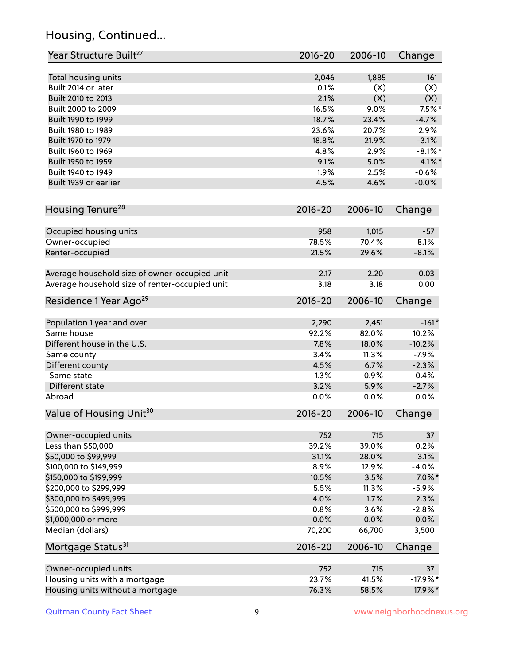# Housing, Continued...

| Year Structure Built <sup>27</sup>             | 2016-20       | 2006-10        | Change          |
|------------------------------------------------|---------------|----------------|-----------------|
| Total housing units                            | 2,046         | 1,885          | 161             |
| Built 2014 or later                            | 0.1%          | (X)            | (X)             |
| Built 2010 to 2013                             | 2.1%          | (X)            | (X)             |
| Built 2000 to 2009                             | 16.5%         | 9.0%           | $7.5\%$ *       |
| Built 1990 to 1999                             | 18.7%         | 23.4%          | $-4.7%$         |
| Built 1980 to 1989                             | 23.6%         | 20.7%          | 2.9%            |
| Built 1970 to 1979                             | 18.8%         | 21.9%          | $-3.1%$         |
| Built 1960 to 1969                             | 4.8%          | 12.9%          | $-8.1\%$ *      |
| Built 1950 to 1959                             | 9.1%          | 5.0%           | 4.1%*           |
| Built 1940 to 1949                             | 1.9%          | 2.5%           | $-0.6%$         |
| Built 1939 or earlier                          | 4.5%          | 4.6%           | $-0.0%$         |
|                                                |               |                |                 |
| Housing Tenure <sup>28</sup>                   | 2016-20       | 2006-10        | Change          |
| Occupied housing units                         | 958           | 1,015          | $-57$           |
| Owner-occupied                                 | 78.5%         | 70.4%          | 8.1%            |
| Renter-occupied                                | 21.5%         | 29.6%          | $-8.1%$         |
| Average household size of owner-occupied unit  | 2.17          | 2.20           | $-0.03$         |
| Average household size of renter-occupied unit | 3.18          | 3.18           | 0.00            |
| Residence 1 Year Ago <sup>29</sup>             | 2016-20       | 2006-10        | Change          |
| Population 1 year and over                     | 2,290         | 2,451          | $-161*$         |
| Same house                                     | 92.2%         | 82.0%          | 10.2%           |
| Different house in the U.S.                    | 7.8%          | 18.0%          | $-10.2%$        |
| Same county                                    | 3.4%          | 11.3%          | $-7.9%$         |
| Different county                               | 4.5%          | 6.7%           | $-2.3%$         |
| Same state                                     | 1.3%          | 0.9%           | 0.4%            |
| Different state                                | 3.2%          | 5.9%           | $-2.7%$         |
| Abroad                                         | 0.0%          | 0.0%           | 0.0%            |
| Value of Housing Unit <sup>30</sup>            | 2016-20       | 2006-10        | Change          |
|                                                |               |                |                 |
| Owner-occupied units                           | 752           | 715            | 37              |
| Less than \$50,000                             | 39.2%         | 39.0%          | 0.2%            |
| \$50,000 to \$99,999<br>\$100,000 to \$149,999 | 31.1%<br>8.9% | 28.0%<br>12.9% | 3.1%<br>$-4.0%$ |
| \$150,000 to \$199,999                         | 10.5%         | 3.5%           | $7.0\%$ *       |
| \$200,000 to \$299,999                         | 5.5%          | 11.3%          | $-5.9%$         |
| \$300,000 to \$499,999                         | 4.0%          | 1.7%           | 2.3%            |
| \$500,000 to \$999,999                         | 0.8%          | 3.6%           | $-2.8%$         |
| \$1,000,000 or more                            | 0.0%          | 0.0%           | $0.0\%$         |
| Median (dollars)                               | 70,200        | 66,700         | 3,500           |
| Mortgage Status <sup>31</sup>                  | 2016-20       | 2006-10        | Change          |
|                                                |               |                |                 |
| Owner-occupied units                           | 752           | 715            | 37              |
| Housing units with a mortgage                  | 23.7%         | 41.5%          | $-17.9%$ *      |
| Housing units without a mortgage               | 76.3%         | 58.5%          | 17.9%*          |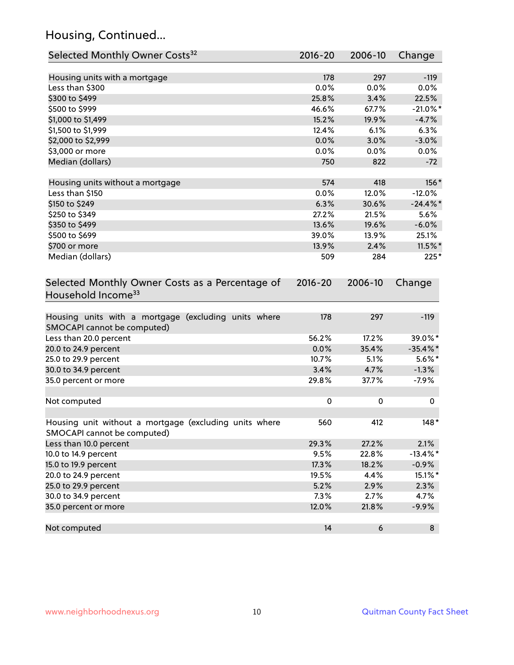# Housing, Continued...

| Selected Monthly Owner Costs <sup>32</sup>                                            | 2016-20     | 2006-10 | Change      |
|---------------------------------------------------------------------------------------|-------------|---------|-------------|
| Housing units with a mortgage                                                         | 178         | 297     | $-119$      |
| Less than \$300                                                                       | 0.0%        | 0.0%    | 0.0%        |
| \$300 to \$499                                                                        | 25.8%       | 3.4%    | 22.5%       |
| \$500 to \$999                                                                        | 46.6%       | 67.7%   | $-21.0\%$ * |
| \$1,000 to \$1,499                                                                    | 15.2%       | 19.9%   | $-4.7%$     |
| \$1,500 to \$1,999                                                                    | 12.4%       | 6.1%    | 6.3%        |
| \$2,000 to \$2,999                                                                    | 0.0%        | 3.0%    | $-3.0%$     |
| \$3,000 or more                                                                       | 0.0%        | $0.0\%$ | $0.0\%$     |
| Median (dollars)                                                                      | 750         | 822     | $-72$       |
| Housing units without a mortgage                                                      | 574         | 418     | 156*        |
| Less than \$150                                                                       | 0.0%        | 12.0%   | $-12.0%$    |
| \$150 to \$249                                                                        | 6.3%        | 30.6%   | $-24.4\%$ * |
| \$250 to \$349                                                                        | 27.2%       | 21.5%   | 5.6%        |
| \$350 to \$499                                                                        | 13.6%       | 19.6%   | $-6.0%$     |
| \$500 to \$699                                                                        | 39.0%       | 13.9%   | 25.1%       |
| \$700 or more                                                                         | 13.9%       | 2.4%    | $11.5\%$ *  |
| Median (dollars)                                                                      | 509         | 284     | $225*$      |
| Selected Monthly Owner Costs as a Percentage of<br>Household Income <sup>33</sup>     | $2016 - 20$ | 2006-10 | Change      |
| Housing units with a mortgage (excluding units where<br>SMOCAPI cannot be computed)   | 178         | 297     | $-119$      |
| Less than 20.0 percent                                                                | 56.2%       | 17.2%   | 39.0%*      |
| 20.0 to 24.9 percent                                                                  | 0.0%        | 35.4%   | $-35.4\%$ * |
| 25.0 to 29.9 percent                                                                  | 10.7%       | 5.1%    | $5.6\%$ *   |
| 30.0 to 34.9 percent                                                                  | 3.4%        | 4.7%    | $-1.3%$     |
| 35.0 percent or more                                                                  | 29.8%       | 37.7%   | $-7.9%$     |
| Not computed                                                                          | 0           | 0       | 0           |
| Housing unit without a mortgage (excluding units where<br>SMOCAPI cannot be computed) | 560         | 412     | 148*        |
| Less than 10.0 percent                                                                | 29.3%       | 27.2%   | 2.1%        |
| 10.0 to 14.9 percent                                                                  | 9.5%        | 22.8%   | $-13.4\%$ * |
| 15.0 to 19.9 percent                                                                  | 17.3%       | 18.2%   | $-0.9%$     |
| 20.0 to 24.9 percent                                                                  | 19.5%       | 4.4%    | 15.1%*      |
| 25.0 to 29.9 percent                                                                  | 5.2%        | 2.9%    | 2.3%        |
| 30.0 to 34.9 percent                                                                  | 7.3%        | 2.7%    | 4.7%        |
| 35.0 percent or more                                                                  | 12.0%       | 21.8%   | $-9.9%$     |
| Not computed                                                                          | 14          | 6       | 8           |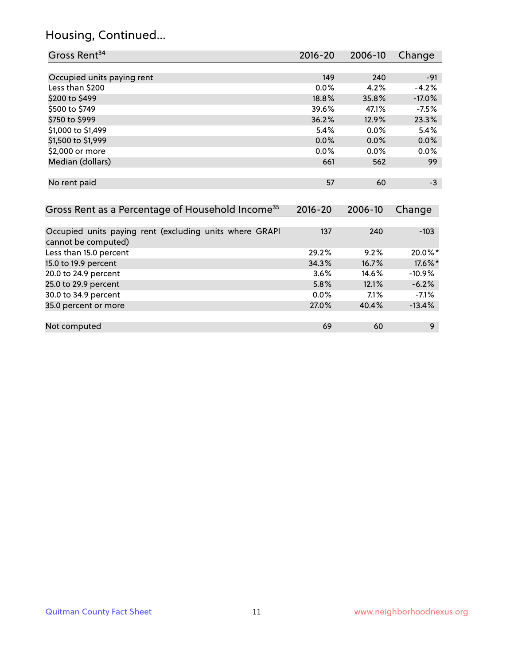#### Housing, Continued...

| Gross Rent <sup>34</sup>                                                       | 2016-20     | 2006-10 | Change   |
|--------------------------------------------------------------------------------|-------------|---------|----------|
|                                                                                |             |         |          |
| Occupied units paying rent                                                     | 149         | 240     | $-91$    |
| Less than \$200                                                                | $0.0\%$     | 4.2%    | $-4.2%$  |
| \$200 to \$499                                                                 | 18.8%       | 35.8%   | $-17.0%$ |
| \$500 to \$749                                                                 | 39.6%       | 47.1%   | $-7.5%$  |
| \$750 to \$999                                                                 | 36.2%       | 12.9%   | 23.3%    |
| \$1,000 to \$1,499                                                             | 5.4%        | $0.0\%$ | 5.4%     |
| \$1,500 to \$1,999                                                             | 0.0%        | 0.0%    | 0.0%     |
| \$2,000 or more                                                                | 0.0%        | 0.0%    | 0.0%     |
| Median (dollars)                                                               | 661         | 562     | 99       |
|                                                                                |             |         |          |
| No rent paid                                                                   | 57          | 60      | $-3$     |
|                                                                                |             |         |          |
| Gross Rent as a Percentage of Household Income <sup>35</sup>                   | $2016 - 20$ | 2006-10 | Change   |
|                                                                                |             |         |          |
| Occupied units paying rent (excluding units where GRAPI<br>cannot be computed) | 137         | 240     | $-103$   |
|                                                                                | 29.2%       | 9.2%    | 20.0%*   |
| Less than 15.0 percent                                                         |             |         |          |
| 15.0 to 19.9 percent                                                           | 34.3%       | 16.7%   | 17.6%*   |
| 20.0 to 24.9 percent                                                           | 3.6%        | 14.6%   | $-10.9%$ |

25.0 to 29.9 percent 5.8% 12.1% -6.2% 30.0 to 34.9 percent 2.0 and 2.0 and 2.0 and 2.0 and 2.0 and 2.0 and 2.0 and 2.0 and 2.0 and 2.0 and 2.0 and 2<br>35.0 percent or more 2.0 and 2.0 and 2.0 and 2.0 and 2.0 and 2.0 and 2.0 and 2.0 and 2.0 and 2.0 and 2.0 and 2

Not computed and the computed computed computed by the computed computed computed by  $69$  60  $9$ 

35.0 percent or more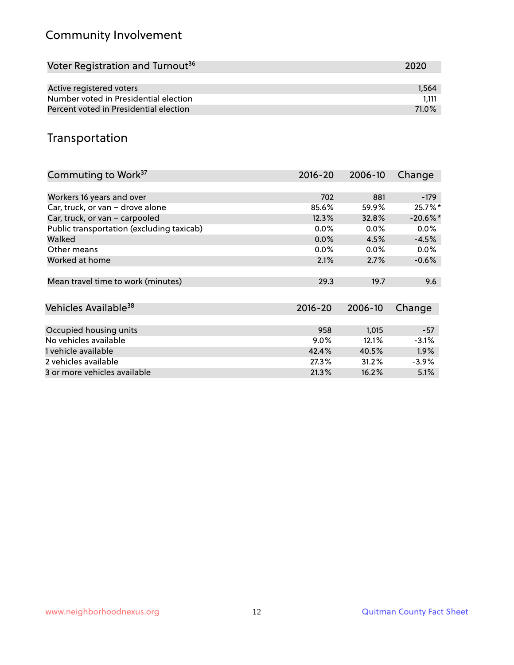# Community Involvement

| Voter Registration and Turnout <sup>36</sup> | 2020  |
|----------------------------------------------|-------|
|                                              |       |
| Active registered voters                     | 1.564 |
| Number voted in Presidential election        | 1.111 |
| Percent voted in Presidential election       | 71.0% |

#### Transportation

| Commuting to Work <sup>37</sup>           | $2016 - 20$ | 2006-10 | Change     |
|-------------------------------------------|-------------|---------|------------|
|                                           |             |         |            |
| Workers 16 years and over                 | 702         | 881     | $-179$     |
| Car, truck, or van - drove alone          | 85.6%       | 59.9%   | 25.7%*     |
| Car, truck, or van - carpooled            | 12.3%       | 32.8%   | $-20.6%$ * |
| Public transportation (excluding taxicab) | $0.0\%$     | 0.0%    | $0.0\%$    |
| Walked                                    | 0.0%        | 4.5%    | $-4.5%$    |
| Other means                               | $0.0\%$     | $0.0\%$ | $0.0\%$    |
| Worked at home                            | 2.1%        | 2.7%    | $-0.6%$    |
|                                           |             |         |            |
| Mean travel time to work (minutes)        | 29.3        | 19.7    | 9.6        |
|                                           |             |         |            |
| Vehicles Available <sup>38</sup>          | $2016 - 20$ | 2006-10 | Change     |
|                                           |             |         |            |
| Occupied housing units                    | 958         | 1,015   | $-57$      |
| No vehicles available                     | $9.0\%$     | 12.1%   | $-3.1%$    |
| 1 vehicle available                       | 42.4%       | 40.5%   | 1.9%       |
| 2 vehicles available                      | 27.3%       | 31.2%   | $-3.9\%$   |
| 3 or more vehicles available              | 21.3%       | 16.2%   | 5.1%       |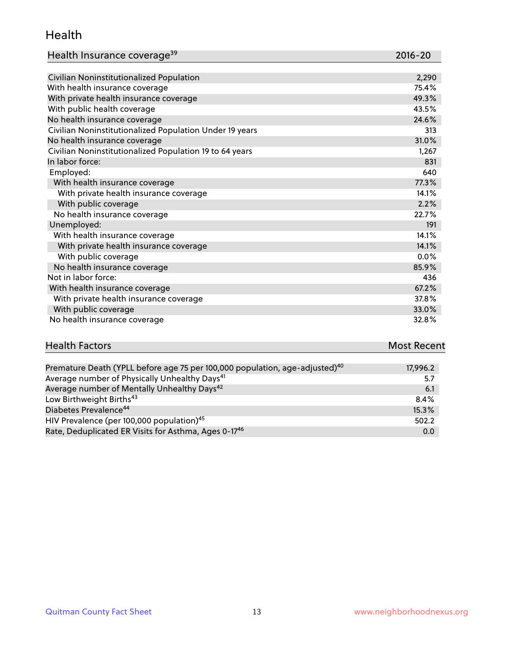#### Health

| Health Insurance coverage <sup>39</sup> | 2016-20 |
|-----------------------------------------|---------|
|-----------------------------------------|---------|

| Civilian Noninstitutionalized Population                | 2,290 |
|---------------------------------------------------------|-------|
| With health insurance coverage                          | 75.4% |
| With private health insurance coverage                  | 49.3% |
| With public health coverage                             | 43.5% |
| No health insurance coverage                            | 24.6% |
| Civilian Noninstitutionalized Population Under 19 years | 313   |
| No health insurance coverage                            | 31.0% |
| Civilian Noninstitutionalized Population 19 to 64 years | 1,267 |
| In labor force:                                         | 831   |
| Employed:                                               | 640   |
| With health insurance coverage                          | 77.3% |
| With private health insurance coverage                  | 14.1% |
| With public coverage                                    | 2.2%  |
| No health insurance coverage                            | 22.7% |
| Unemployed:                                             | 191   |
| With health insurance coverage                          | 14.1% |
| With private health insurance coverage                  | 14.1% |
| With public coverage                                    | 0.0%  |
| No health insurance coverage                            | 85.9% |
| Not in labor force:                                     | 436   |
| With health insurance coverage                          | 67.2% |
| With private health insurance coverage                  | 37.8% |
| With public coverage                                    | 33.0% |

| <b>Health Factors</b> | <b>Most Recent</b> |
|-----------------------|--------------------|
|                       |                    |

No health insurance coverage 32.8%

| Premature Death (YPLL before age 75 per 100,000 population, age-adjusted) <sup>40</sup> | 17,996.2 |
|-----------------------------------------------------------------------------------------|----------|
| Average number of Physically Unhealthy Days <sup>41</sup>                               | 5.7      |
| Average number of Mentally Unhealthy Days <sup>42</sup>                                 | 6.1      |
| Low Birthweight Births <sup>43</sup>                                                    | $8.4\%$  |
| Diabetes Prevalence <sup>44</sup>                                                       | 15.3%    |
| HIV Prevalence (per 100,000 population) <sup>45</sup>                                   | 502.2    |
| Rate, Deduplicated ER Visits for Asthma, Ages 0-17 <sup>46</sup>                        | 0.0      |